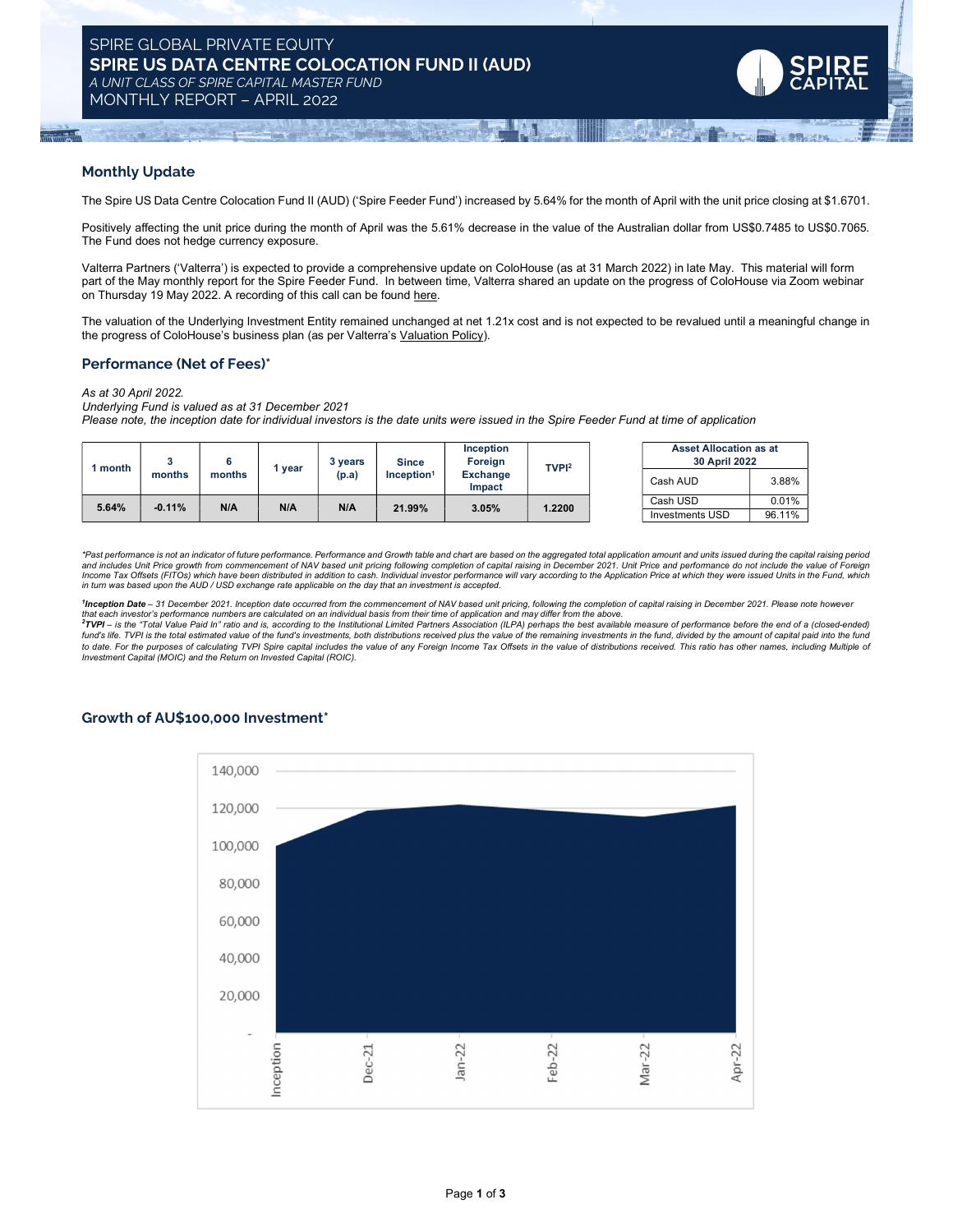MONTHLY REPORT – APRIL 2022



## Monthly Update

The Spire US Data Centre Colocation Fund II (AUD) ('Spire Feeder Fund') increased by 5.64% for the month of April with the unit price closing at \$1.6701.

Positively affecting the unit price during the month of April was the 5.61% decrease in the value of the Australian dollar from US\$0.7485 to US\$0.7065. The Fund does not hedge currency exposure.

Valterra Partners ('Valterra') is expected to provide a comprehensive update on ColoHouse (as at 31 March 2022) in late May. This material will form part of the May monthly report for the Spire Feeder Fund. In between time, Valterra shared an update on the progress of ColoHouse via Zoom webinar on Thursday 19 May 2022. A recording of this call can be found here.

The valuation of the Underlying Investment Entity remained unchanged at net 1.21x cost and is not expected to be revalued until a meaningful change in the progress of ColoHouse's business plan (as per Valterra's Valuation Policy).

### Performance (Net of Fees)\*

As at 30 April 2022.

Underlying Fund is valued as at 31 December 2021

Please note, the inception date for individual investors is the date units were issued in the Spire Feeder Fund at time of application

| 1 month | months   | months | year | vears<br>(p.a) | <b>Since</b><br>Inception <sup>1</sup> | Inception<br>Foreign<br>Exchange<br>Impact | TVPI <sup>2</sup> | <b>Asset Allocation as at</b><br><b>30 April 2022</b> |        |
|---------|----------|--------|------|----------------|----------------------------------------|--------------------------------------------|-------------------|-------------------------------------------------------|--------|
|         |          |        |      |                |                                        |                                            |                   | Cash AUD                                              | 3.88%  |
| 5.64%   | $-0.11%$ | N/A    | N/A  | N/A            | 21.99%                                 | 3.05%                                      | .2200             | Cash USD                                              | 0.01%  |
|         |          |        |      |                |                                        |                                            |                   | <b>Investments USD</b>                                | 96.11% |

\*Past performance is not an indicator of future performance. Performance and Growth table and chart are based on the aggregated total application amount and units issued during the capital raising period.<br>and includes Unit in turn was based upon the AUD / USD exchange rate applicable on the day that an investment is accepted.

<sup>1</sup>Inception Date – 31 December 2021. Inception date occurred from the commencement of NAV based unit pricing, following the completion of capital raising in December 2021. Please note however<br>that each investor's performa

EXECUT INVERSION DESCRIPTION OF THE INTERNATION CONTROL INTERNATION CONTROL INTERNATIONAL SECTION OF THE INSTITUTION OF THE INSTITUTION OF THE INSTITUTION OF THE INSTITUTION OF THE INSTITUTION OF THE INSTITUTION OF THE INS fund's life. TVPI is the total estimated value of the fund's investments, both distributions received plus the value of the remaining investments in the fund, divided by the amount of capital paid into the fund to date. For the purposes of calculating TVPI Spire capital includes the value of any Foreign Income Tax Offsets in the value of distributions received. This ratio has other names, including Multiple of Investment Capital (MOIC) and the Return on Invested Capital (ROIC).

## Growth of AU\$100,000 Investment\*

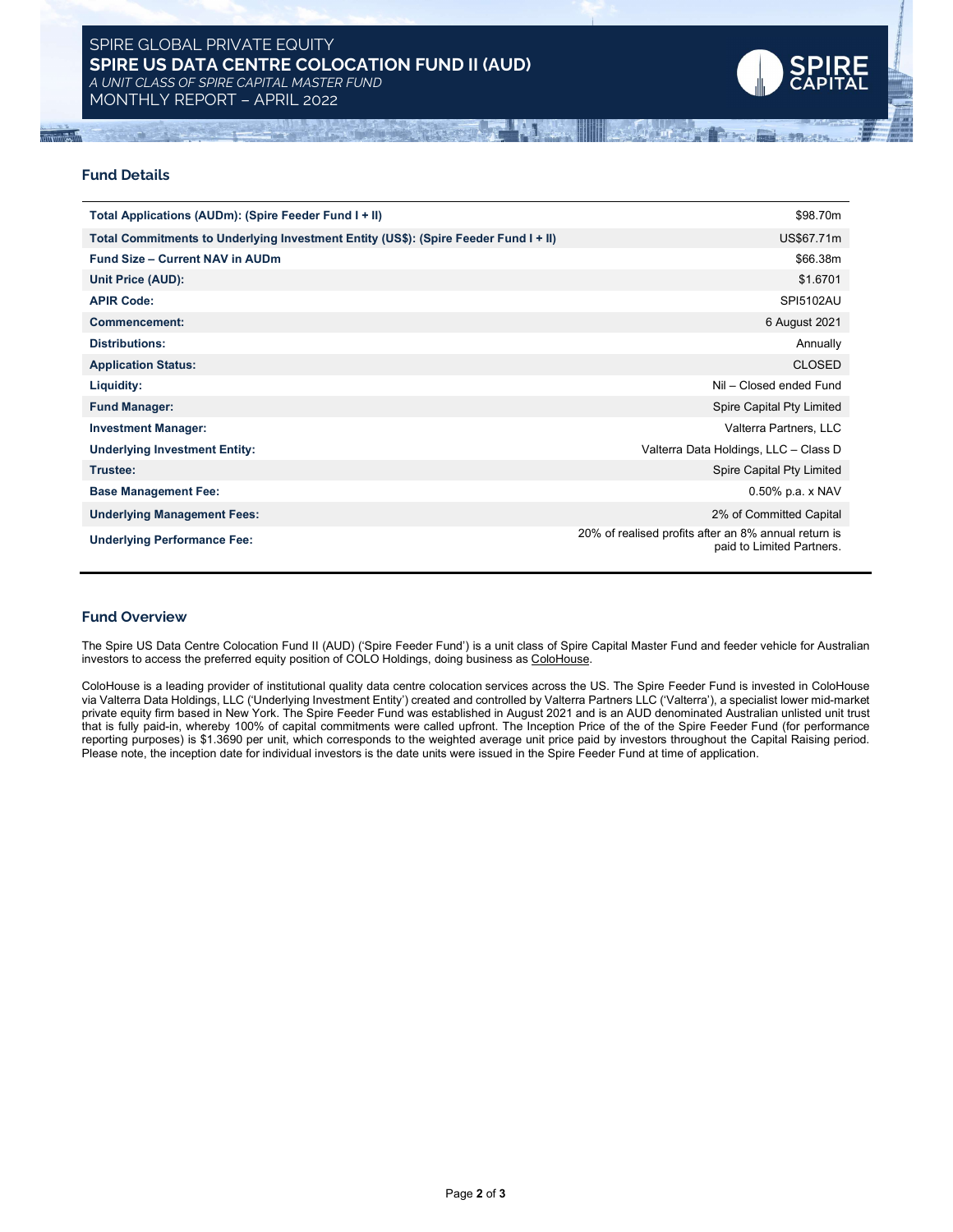# SPIRE GLOBAL PRIVATE EQUITY SPIRE US DATA CENTRE COLOCATION FUND II (AUD) A UNIT CLASS OF SPIRE CAPITAL MASTER FUND

MONTHLY REPORT – APRIL 2022



**LOT WETHER** 

## Fund Details

| Total Applications (AUDm): (Spire Feeder Fund I + II)                                | \$98.70m                                                                          |
|--------------------------------------------------------------------------------------|-----------------------------------------------------------------------------------|
| Total Commitments to Underlying Investment Entity (US\$): (Spire Feeder Fund I + II) | US\$67.71m                                                                        |
| <b>Fund Size - Current NAV in AUDm</b>                                               | \$66.38m                                                                          |
| Unit Price (AUD):                                                                    | \$1.6701                                                                          |
| <b>APIR Code:</b>                                                                    | <b>SPI5102AU</b>                                                                  |
| <b>Commencement:</b>                                                                 | 6 August 2021                                                                     |
| <b>Distributions:</b>                                                                | Annually                                                                          |
| <b>Application Status:</b>                                                           | <b>CLOSED</b>                                                                     |
| Liquidity:                                                                           | Nil - Closed ended Fund                                                           |
| <b>Fund Manager:</b>                                                                 | Spire Capital Pty Limited                                                         |
| <b>Investment Manager:</b>                                                           | Valterra Partners, LLC                                                            |
| <b>Underlying Investment Entity:</b>                                                 | Valterra Data Holdings, LLC - Class D                                             |
| Trustee:                                                                             | Spire Capital Pty Limited                                                         |
| <b>Base Management Fee:</b>                                                          | 0.50% p.a. x NAV                                                                  |
| <b>Underlying Management Fees:</b>                                                   | 2% of Committed Capital                                                           |
| <b>Underlying Performance Fee:</b>                                                   | 20% of realised profits after an 8% annual return is<br>paid to Limited Partners. |

#### Fund Overview

The Spire US Data Centre Colocation Fund II (AUD) ('Spire Feeder Fund') is a unit class of Spire Capital Master Fund and feeder vehicle for Australian investors to access the preferred equity position of COLO Holdings, doing business as ColoHouse.

ColoHouse is a leading provider of institutional quality data centre colocation services across the US. The Spire Feeder Fund is invested in ColoHouse via Valterra Data Holdings, LLC ('Underlying Investment Entity') created and controlled by Valterra Partners LLC ('Valterra'), a specialist lower mid-market private equity firm based in New York. The Spire Feeder Fund was established in August 2021 and is an AUD denominated Australian unlisted unit trust that is fully paid-in, whereby 100% of capital commitments were called upfront. The Inception Price of the of the Spire Feeder Fund (for performance reporting purposes) is \$1.3690 per unit, which corresponds to the weighted average unit price paid by investors throughout the Capital Raising period. Please note, the inception date for individual investors is the date units were issued in the Spire Feeder Fund at time of application.